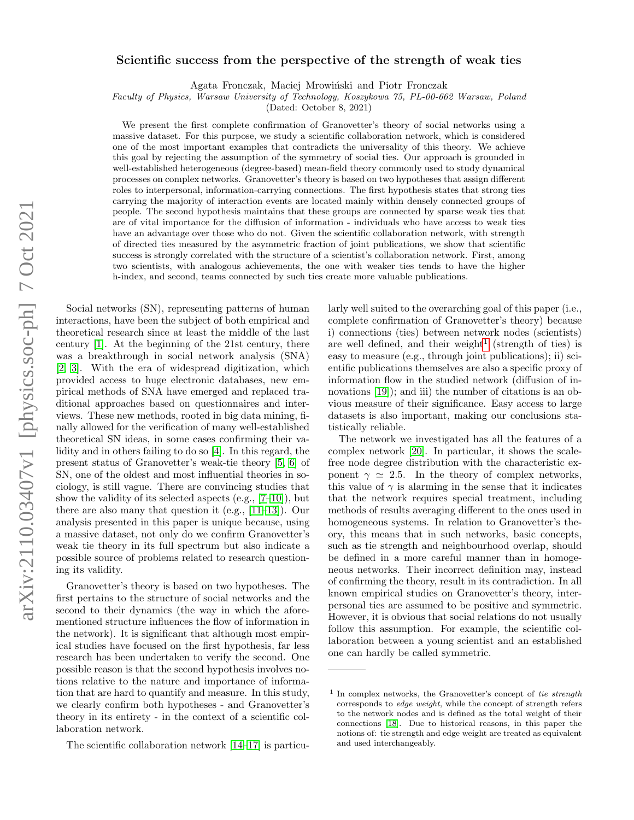# arXiv:2110.03407v1 [physics.soc-ph] 7 Oct 2021 arXiv:2110.03407v1 [physics.soc-ph] 7 Oct 2021

# Scientific success from the perspective of the strength of weak ties

Agata Fronczak, Maciej Mrowiński and Piotr Fronczak

Faculty of Physics, Warsaw University of Technology, Koszykowa 75, PL-00-662 Warsaw, Poland

(Dated: October 8, 2021)

We present the first complete confirmation of Granovetter's theory of social networks using a massive dataset. For this purpose, we study a scientific collaboration network, which is considered one of the most important examples that contradicts the universality of this theory. We achieve this goal by rejecting the assumption of the symmetry of social ties. Our approach is grounded in well-established heterogeneous (degree-based) mean-field theory commonly used to study dynamical processes on complex networks. Granovetter's theory is based on two hypotheses that assign different roles to interpersonal, information-carrying connections. The first hypothesis states that strong ties carrying the majority of interaction events are located mainly within densely connected groups of people. The second hypothesis maintains that these groups are connected by sparse weak ties that are of vital importance for the diffusion of information - individuals who have access to weak ties have an advantage over those who do not. Given the scientific collaboration network, with strength of directed ties measured by the asymmetric fraction of joint publications, we show that scientific success is strongly correlated with the structure of a scientist's collaboration network. First, among two scientists, with analogous achievements, the one with weaker ties tends to have the higher h-index, and second, teams connected by such ties create more valuable publications.

Social networks (SN), representing patterns of human interactions, have been the subject of both empirical and theoretical research since at least the middle of the last century [\[1\]](#page-5-0). At the beginning of the 21st century, there was a breakthrough in social network analysis (SNA) [\[2,](#page-5-1) [3\]](#page-5-2). With the era of widespread digitization, which provided access to huge electronic databases, new empirical methods of SNA have emerged and replaced traditional approaches based on questionnaires and interviews. These new methods, rooted in big data mining, finally allowed for the verification of many well-established theoretical SN ideas, in some cases confirming their validity and in others failing to do so [\[4\]](#page-5-3). In this regard, the present status of Granovetter's weak-tie theory [\[5,](#page-5-4) [6\]](#page-5-5) of SN, one of the oldest and most influential theories in sociology, is still vague. There are convincing studies that show the validity of its selected aspects (e.g.,  $[7-10]$  $[7-10]$ ), but there are also many that question it (e.g., [\[11–](#page-6-0)[13\]](#page-6-1)). Our analysis presented in this paper is unique because, using a massive dataset, not only do we confirm Granovetter's weak tie theory in its full spectrum but also indicate a possible source of problems related to research questioning its validity.

Granovetter's theory is based on two hypotheses. The first pertains to the structure of social networks and the second to their dynamics (the way in which the aforementioned structure influences the flow of information in the network). It is significant that although most empirical studies have focused on the first hypothesis, far less research has been undertaken to verify the second. One possible reason is that the second hypothesis involves notions relative to the nature and importance of information that are hard to quantify and measure. In this study, we clearly confirm both hypotheses - and Granovetter's theory in its entirety - in the context of a scientific collaboration network.

larly well suited to the overarching goal of this paper (i.e., complete confirmation of Granovetter's theory) because i) connections (ties) between network nodes (scientists) are well defined, and their weight<sup>[1](#page-0-0)</sup> (strength of ties) is easy to measure (e.g., through joint publications); ii) scientific publications themselves are also a specific proxy of information flow in the studied network (diffusion of in-novations [\[19\]](#page-6-4)); and iii) the number of citations is an obvious measure of their significance. Easy access to large datasets is also important, making our conclusions statistically reliable.

The network we investigated has all the features of a complex network [\[20\]](#page-6-5). In particular, it shows the scalefree node degree distribution with the characteristic exponent  $\gamma \simeq 2.5$ . In the theory of complex networks, this value of  $\gamma$  is alarming in the sense that it indicates that the network requires special treatment, including methods of results averaging different to the ones used in homogeneous systems. In relation to Granovetter's theory, this means that in such networks, basic concepts, such as tie strength and neighbourhood overlap, should be defined in a more careful manner than in homogeneous networks. Their incorrect definition may, instead of confirming the theory, result in its contradiction. In all known empirical studies on Granovetter's theory, interpersonal ties are assumed to be positive and symmetric. However, it is obvious that social relations do not usually follow this assumption. For example, the scientific collaboration between a young scientist and an established one can hardly be called symmetric.

The scientific collaboration network [\[14](#page-6-2)[–17\]](#page-6-3) is particu-

<span id="page-0-0"></span><sup>&</sup>lt;sup>1</sup> In complex networks, the Granovetter's concept of tie strength corresponds to edge weight, while the concept of strength refers to the network nodes and is defined as the total weight of their connections [\[18\]](#page-6-6). Due to historical reasons, in this paper the notions of: tie strength and edge weight are treated as equivalent and used interchangeably.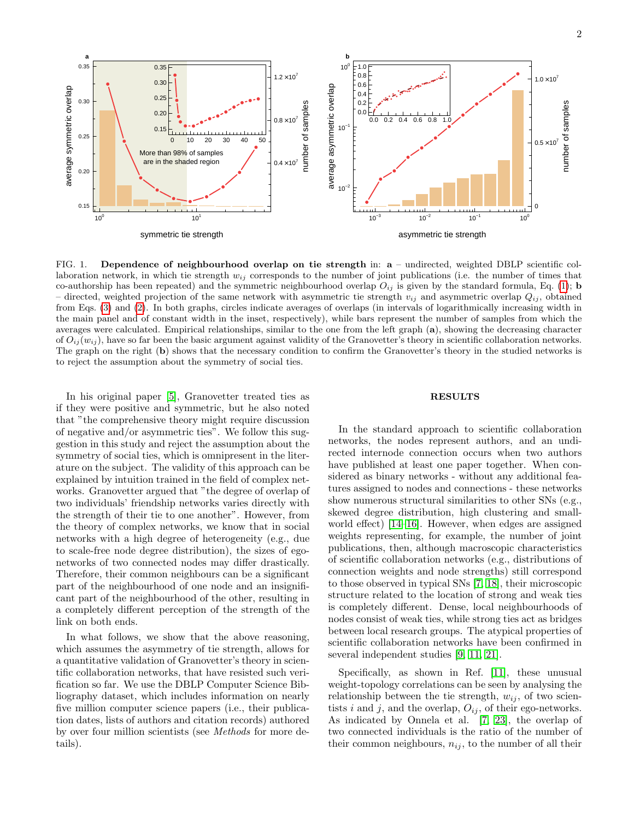

<span id="page-1-0"></span>FIG. 1. Dependence of neighbourhood overlap on tie strength in: a – undirected, weighted DBLP scientific collaboration network, in which tie strength  $w_{ij}$  corresponds to the number of joint publications (i.e. the number of times that co-authorship has been repeated) and the symmetric neighbourhood overlap  $O_{ij}$  is given by the standard formula, Eq. [\(1\)](#page-2-0); **b** – directed, weighted projection of the same network with asymmetric tie strength  $v_{ij}$  and asymmetric overlap  $Q_{ij}$ , obtained from Eqs. [\(3\)](#page-3-0) and [\(2\)](#page-2-1). In both graphs, circles indicate averages of overlaps (in intervals of logarithmically increasing width in the main panel and of constant width in the inset, respectively), while bars represent the number of samples from which the averages were calculated. Empirical relationships, similar to the one from the left graph (a), showing the decreasing character of  $O_{ij}(w_{ij})$ , have so far been the basic argument against validity of the Granovetter's theory in scientific collaboration networks. The graph on the right (b) shows that the necessary condition to confirm the Granovetter's theory in the studied networks is to reject the assumption about the symmetry of social ties.

In his original paper [\[5\]](#page-5-4), Granovetter treated ties as if they were positive and symmetric, but he also noted that "the comprehensive theory might require discussion of negative and/or asymmetric ties". We follow this suggestion in this study and reject the assumption about the symmetry of social ties, which is omnipresent in the literature on the subject. The validity of this approach can be explained by intuition trained in the field of complex networks. Granovetter argued that "the degree of overlap of two individuals' friendship networks varies directly with the strength of their tie to one another". However, from the theory of complex networks, we know that in social networks with a high degree of heterogeneity (e.g., due to scale-free node degree distribution), the sizes of egonetworks of two connected nodes may differ drastically. Therefore, their common neighbours can be a significant part of the neighbourhood of one node and an insignificant part of the neighbourhood of the other, resulting in a completely different perception of the strength of the link on both ends.

In what follows, we show that the above reasoning, which assumes the asymmetry of tie strength, allows for a quantitative validation of Granovetter's theory in scientific collaboration networks, that have resisted such verification so far. We use the DBLP Computer Science Bibliography dataset, which includes information on nearly five million computer science papers (i.e., their publication dates, lists of authors and citation records) authored by over four million scientists (see Methods for more details).

## RESULTS

In the standard approach to scientific collaboration networks, the nodes represent authors, and an undirected internode connection occurs when two authors have published at least one paper together. When considered as binary networks - without any additional features assigned to nodes and connections - these networks show numerous structural similarities to other SNs (e.g., skewed degree distribution, high clustering and smallworld effect) [\[14–](#page-6-2)[16\]](#page-6-7). However, when edges are assigned weights representing, for example, the number of joint publications, then, although macroscopic characteristics of scientific collaboration networks (e.g., distributions of connection weights and node strengths) still correspond to those observed in typical SNs [\[7,](#page-5-6) [18\]](#page-6-6), their microscopic structure related to the location of strong and weak ties is completely different. Dense, local neighbourhoods of nodes consist of weak ties, while strong ties act as bridges between local research groups. The atypical properties of scientific collaboration networks have been confirmed in several independent studies [\[9,](#page-5-8) [11,](#page-6-0) [21\]](#page-6-8).

Specifically, as shown in Ref. [\[11\]](#page-6-0), these unusual weight-topology correlations can be seen by analysing the relationship between the tie strength,  $w_{ij}$ , of two scientists i and j, and the overlap,  $O_{ij}$ , of their ego-networks. As indicated by Onnela et al. [\[7,](#page-5-6) [23\]](#page-6-9), the overlap of two connected individuals is the ratio of the number of their common neighbours,  $n_{ij}$ , to the number of all their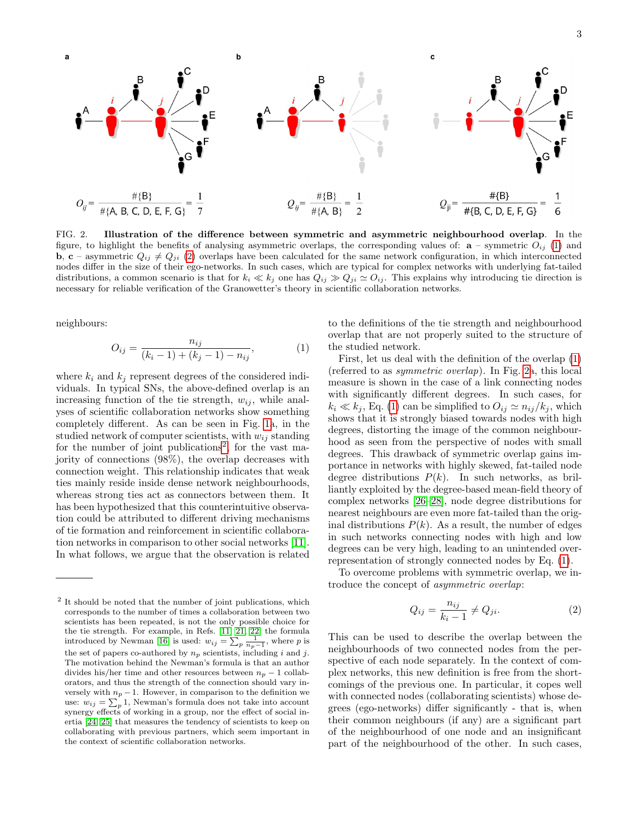

<span id="page-2-3"></span>FIG. 2. Illustration of the difference between symmetric and asymmetric neighbourhood overlap. In the figure, to highlight the benefits of analysing asymmetric overlaps, the corresponding values of:  $\mathbf{a}$  – symmetric  $O_{ij}$  [\(1\)](#page-2-0) and **b**, c – asymmetric  $Q_{ij} \neq Q_{ji}$  [\(2\)](#page-2-1) overlaps have been calculated for the same network configuration, in which interconnected nodes differ in the size of their ego-networks. In such cases, which are typical for complex networks with underlying fat-tailed distributions, a common scenario is that for  $k_i \ll k_j$  one has  $Q_{ij} \gg Q_{ji} \simeq O_{ij}$ . This explains why introducing tie direction is necessary for reliable verification of the Granowetter's theory in scientific collaboration networks.

neighbours:

<span id="page-2-0"></span>
$$
O_{ij} = \frac{n_{ij}}{(k_i - 1) + (k_j - 1) - n_{ij}},
$$
\n(1)

where  $k_i$  and  $k_j$  represent degrees of the considered individuals. In typical SNs, the above-defined overlap is an increasing function of the tie strength,  $w_{ij}$ , while analyses of scientific collaboration networks show something completely different. As can be seen in Fig. [1a](#page-1-0), in the studied network of computer scientists, with  $w_{ij}$  standing for the number of joint publications<sup>[2](#page-2-2)</sup>, for the vast majority of connections (98%), the overlap decreases with connection weight. This relationship indicates that weak ties mainly reside inside dense network neighbourhoods, whereas strong ties act as connectors between them. It has been hypothesized that this counterintuitive observation could be attributed to different driving mechanisms of tie formation and reinforcement in scientific collaboration networks in comparison to other social networks [\[11\]](#page-6-0). In what follows, we argue that the observation is related to the definitions of the tie strength and neighbourhood overlap that are not properly suited to the structure of the studied network.

First, let us deal with the definition of the overlap [\(1\)](#page-2-0) (referred to as symmetric overlap). In Fig. [2a](#page-2-3), this local measure is shown in the case of a link connecting nodes with significantly different degrees. In such cases, for  $k_i \ll k_j$ , Eq. [\(1\)](#page-2-0) can be simplified to  $O_{ij} \simeq n_{ij}/k_j$ , which shows that it is strongly biased towards nodes with high degrees, distorting the image of the common neighbourhood as seen from the perspective of nodes with small degrees. This drawback of symmetric overlap gains importance in networks with highly skewed, fat-tailed node degree distributions  $P(k)$ . In such networks, as brilliantly exploited by the degree-based mean-field theory of complex networks [\[26](#page-6-13)[–28\]](#page-6-14), node degree distributions for nearest neighbours are even more fat-tailed than the original distributions  $P(k)$ . As a result, the number of edges in such networks connecting nodes with high and low degrees can be very high, leading to an unintended overrepresentation of strongly connected nodes by Eq. [\(1\)](#page-2-0).

To overcome problems with symmetric overlap, we introduce the concept of asymmetric overlap:

<span id="page-2-1"></span>
$$
Q_{ij} = \frac{n_{ij}}{k_i - 1} \neq Q_{ji}.
$$
\n<sup>(2)</sup>

This can be used to describe the overlap between the neighbourhoods of two connected nodes from the perspective of each node separately. In the context of complex networks, this new definition is free from the shortcomings of the previous one. In particular, it copes well with connected nodes (collaborating scientists) whose degrees (ego-networks) differ significantly - that is, when their common neighbours (if any) are a significant part of the neighbourhood of one node and an insignificant part of the neighbourhood of the other. In such cases,

<span id="page-2-2"></span><sup>&</sup>lt;sup>2</sup> It should be noted that the number of joint publications, which corresponds to the number of times a collaboration between two scientists has been repeated, is not the only possible choice for the tie strength. For example, in Refs. [\[11,](#page-6-0) [21,](#page-6-8) [22\]](#page-6-10) the formula introduced by Newman [\[16\]](#page-6-7) is used:  $w_{ij} = \sum_{p} \frac{1}{n_p-1}$ , where p is the set of papers co-authored by  $n_p$  scientists, including i and j. The motivation behind the Newman's formula is that an author divides his/her time and other resources between  $n_p - 1$  collaborators, and thus the strength of the connection should vary inversely with  $n_p - 1$ . However, in comparison to the definition we use:  $w_{ij} = \sum_p 1$ , Newman's formula does not take into account synergy effects of working in a group, nor the effect of social inertia [\[24,](#page-6-11) [25\]](#page-6-12) that measures the tendency of scientists to keep on collaborating with previous partners, which seem important in the context of scientific collaboration networks.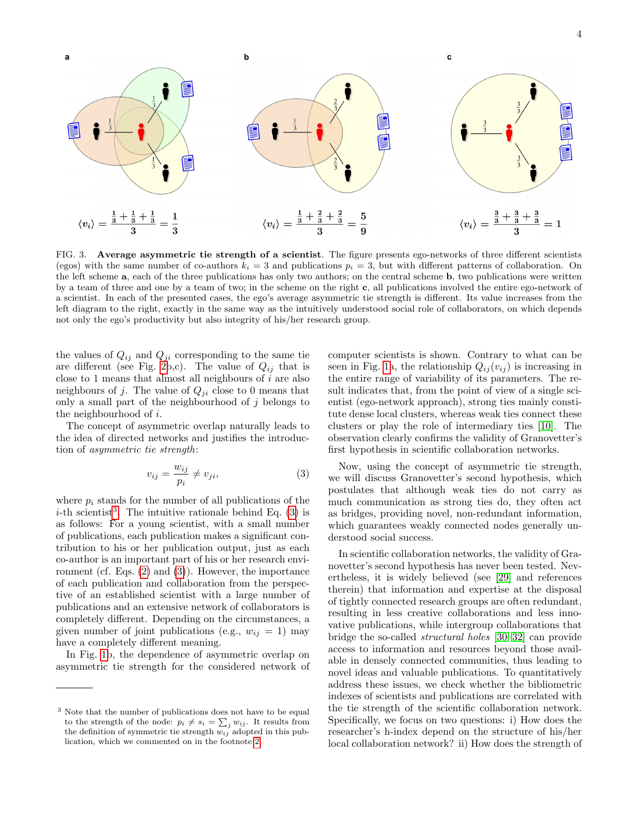

<span id="page-3-2"></span>FIG. 3. Average asymmetric tie strength of a scientist. The figure presents ego-networks of three different scientists (egos) with the same number of co-authors  $k_i = 3$  and publications  $p_i = 3$ , but with different patterns of collaboration. On the left scheme a, each of the three publications has only two authors; on the central scheme b, two publications were written by a team of three and one by a team of two; in the scheme on the right c, all publications involved the entire ego-network of a scientist. In each of the presented cases, the ego's average asymmetric tie strength is different. Its value increases from the left diagram to the right, exactly in the same way as the intuitively understood social role of collaborators, on which depends not only the ego's productivity but also integrity of his/her research group.

the values of  $Q_{ij}$  and  $Q_{ji}$  corresponding to the same tie are different (see Fig. [2b](#page-2-3),c). The value of  $Q_{ij}$  that is close to 1 means that almost all neighbours of  $i$  are also neighbours of j. The value of  $Q_{ji}$  close to 0 means that only a small part of the neighbourhood of  $j$  belongs to the neighbourhood of i.

The concept of asymmetric overlap naturally leads to the idea of directed networks and justifies the introduction of asymmetric tie strength:

<span id="page-3-0"></span>
$$
v_{ij} = \frac{w_{ij}}{p_i} \neq v_{ji},\tag{3}
$$

where  $p_i$  stands for the number of all publications of the *i*-th scientist<sup>[3](#page-3-1)</sup>. The intuitive rationale behind Eq. [\(3\)](#page-3-0) is as follows: For a young scientist, with a small number of publications, each publication makes a significant contribution to his or her publication output, just as each co-author is an important part of his or her research environment (cf. Eqs. [\(2\)](#page-2-1) and [\(3\)](#page-3-0)). However, the importance of each publication and collaboration from the perspective of an established scientist with a large number of publications and an extensive network of collaborators is completely different. Depending on the circumstances, a given number of joint publications (e.g.,  $w_{ij} = 1$ ) may have a completely different meaning.

In Fig. [1b](#page-1-0), the dependence of asymmetric overlap on asymmetric tie strength for the considered network of

computer scientists is shown. Contrary to what can be seen in Fig. [1a](#page-1-0), the relationship  $Q_{ij}(v_{ij})$  is increasing in the entire range of variability of its parameters. The result indicates that, from the point of view of a single scientist (ego-network approach), strong ties mainly constitute dense local clusters, whereas weak ties connect these clusters or play the role of intermediary ties [\[10\]](#page-5-7). The observation clearly confirms the validity of Granovetter's first hypothesis in scientific collaboration networks.

Now, using the concept of asymmetric tie strength, we will discuss Granovetter's second hypothesis, which postulates that although weak ties do not carry as much communication as strong ties do, they often act as bridges, providing novel, non-redundant information, which guarantees weakly connected nodes generally understood social success.

In scientific collaboration networks, the validity of Granovetter's second hypothesis has never been tested. Nevertheless, it is widely believed (see [\[29\]](#page-6-15) and references therein) that information and expertise at the disposal of tightly connected research groups are often redundant, resulting in less creative collaborations and less innovative publications, while intergroup collaborations that bridge the so-called structural holes [\[30](#page-6-16)[–32\]](#page-6-17) can provide access to information and resources beyond those available in densely connected communities, thus leading to novel ideas and valuable publications. To quantitatively address these issues, we check whether the bibliometric indexes of scientists and publications are correlated with the tie strength of the scientific collaboration network. Specifically, we focus on two questions: i) How does the researcher's h-index depend on the structure of his/her local collaboration network? ii) How does the strength of

<span id="page-3-1"></span><sup>3</sup> Note that the number of publications does not have to be equal to the strength of the node:  $p_i \neq s_i = \sum_j w_{ij}$ . It results from the definition of symmetric tie strength  $w_{ij}$  adopted in this publication, which we commented on in the footnote [2.](#page-2-2)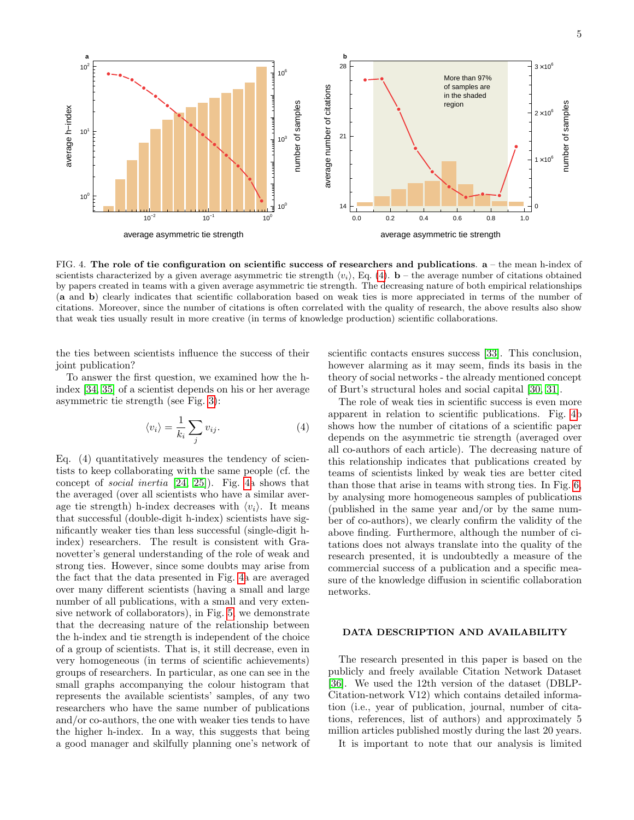

<span id="page-4-1"></span>FIG. 4. The role of tie configuration on scientific success of researchers and publications.  $a -$ the mean h-index of scientists characterized by a given average asymmetric tie strength  $\langle v_i \rangle$ , Eq. [\(4\)](#page-4-0).  $\mathbf{b}$  – the average number of citations obtained by papers created in teams with a given average asymmetric tie strength. The decreasing nature of both empirical relationships (a and b) clearly indicates that scientific collaboration based on weak ties is more appreciated in terms of the number of citations. Moreover, since the number of citations is often correlated with the quality of research, the above results also show that weak ties usually result in more creative (in terms of knowledge production) scientific collaborations.

the ties between scientists influence the success of their joint publication?

To answer the first question, we examined how the hindex [\[34,](#page-6-18) [35\]](#page-6-19) of a scientist depends on his or her average asymmetric tie strength (see Fig. [3\)](#page-3-2):

<span id="page-4-0"></span>
$$
\langle v_i \rangle = \frac{1}{k_i} \sum_j v_{ij}.
$$
 (4)

Eq. (4) quantitatively measures the tendency of scientists to keep collaborating with the same people (cf. the concept of social inertia [\[24,](#page-6-11) [25\]](#page-6-12)). Fig. [4a](#page-4-1) shows that the averaged (over all scientists who have a similar average tie strength) h-index decreases with  $\langle v_i \rangle$ . It means that successful (double-digit h-index) scientists have significantly weaker ties than less successful (single-digit hindex) researchers. The result is consistent with Granovetter's general understanding of the role of weak and strong ties. However, since some doubts may arise from the fact that the data presented in Fig. [4a](#page-4-1) are averaged over many different scientists (having a small and large number of all publications, with a small and very extensive network of collaborators), in Fig. [5,](#page-5-9) we demonstrate that the decreasing nature of the relationship between the h-index and tie strength is independent of the choice of a group of scientists. That is, it still decrease, even in very homogeneous (in terms of scientific achievements) groups of researchers. In particular, as one can see in the small graphs accompanying the colour histogram that represents the available scientists' samples, of any two researchers who have the same number of publications and/or co-authors, the one with weaker ties tends to have the higher h-index. In a way, this suggests that being a good manager and skilfully planning one's network of

scientific contacts ensures success [\[33\]](#page-6-20). This conclusion, however alarming as it may seem, finds its basis in the theory of social networks - the already mentioned concept of Burt's structural holes and social capital [\[30,](#page-6-16) [31\]](#page-6-21).

The role of weak ties in scientific success is even more apparent in relation to scientific publications. Fig. [4b](#page-4-1) shows how the number of citations of a scientific paper depends on the asymmetric tie strength (averaged over all co-authors of each article). The decreasing nature of this relationship indicates that publications created by teams of scientists linked by weak ties are better cited than those that arise in teams with strong ties. In Fig. [6,](#page-6-22) by analysing more homogeneous samples of publications (published in the same year and/or by the same number of co-authors), we clearly confirm the validity of the above finding. Furthermore, although the number of citations does not always translate into the quality of the research presented, it is undoubtedly a measure of the commercial success of a publication and a specific measure of the knowledge diffusion in scientific collaboration networks.

### DATA DESCRIPTION AND AVAILABILITY

The research presented in this paper is based on the publicly and freely available Citation Network Dataset [\[36\]](#page-7-0). We used the 12th version of the dataset (DBLP-Citation-network V12) which contains detailed information (i.e., year of publication, journal, number of citations, references, list of authors) and approximately 5 million articles published mostly during the last 20 years.

It is important to note that our analysis is limited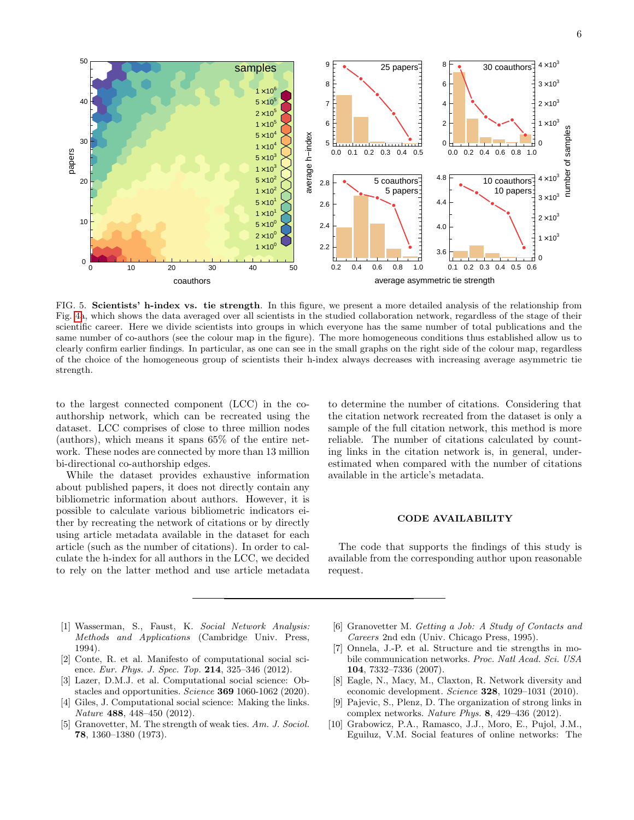

<span id="page-5-9"></span>FIG. 5. Scientists' h-index vs. tie strength. In this figure, we present a more detailed analysis of the relationship from Fig. [4a](#page-4-1), which shows the data averaged over all scientists in the studied collaboration network, regardless of the stage of their scientific career. Here we divide scientists into groups in which everyone has the same number of total publications and the same number of co-authors (see the colour map in the figure). The more homogeneous conditions thus established allow us to clearly confirm earlier findings. In particular, as one can see in the small graphs on the right side of the colour map, regardless of the choice of the homogeneous group of scientists their h-index always decreases with increasing average asymmetric tie strength.

to the largest connected component (LCC) in the coauthorship network, which can be recreated using the dataset. LCC comprises of close to three million nodes (authors), which means it spans 65% of the entire network. These nodes are connected by more than 13 million bi-directional co-authorship edges.

While the dataset provides exhaustive information about published papers, it does not directly contain any bibliometric information about authors. However, it is possible to calculate various bibliometric indicators either by recreating the network of citations or by directly using article metadata available in the dataset for each article (such as the number of citations). In order to calculate the h-index for all authors in the LCC, we decided to rely on the latter method and use article metadata

to determine the number of citations. Considering that the citation network recreated from the dataset is only a sample of the full citation network, this method is more reliable. The number of citations calculated by counting links in the citation network is, in general, underestimated when compared with the number of citations available in the article's metadata.

### CODE AVAILABILITY

The code that supports the findings of this study is available from the corresponding author upon reasonable request.

- <span id="page-5-0"></span>[1] Wasserman, S., Faust, K. Social Network Analysis: Methods and Applications (Cambridge Univ. Press, 1994).
- <span id="page-5-1"></span>[2] Conte, R. et al. Manifesto of computational social science. Eur. Phys. J. Spec. Top. 214, 325–346 (2012).
- <span id="page-5-2"></span>[3] Lazer, D.M.J. et al. Computational social science: Obstacles and opportunities. Science 369 1060-1062 (2020).
- <span id="page-5-3"></span>[4] Giles, J. Computational social science: Making the links. Nature 488, 448–450 (2012).
- <span id="page-5-4"></span>Granovetter, M. The strength of weak ties. Am. J. Sociol. 78, 1360–1380 (1973).
- <span id="page-5-5"></span>[6] Granovetter M. Getting a Job: A Study of Contacts and Careers 2nd edn (Univ. Chicago Press, 1995).
- <span id="page-5-6"></span>[7] Onnela, J.-P. et al. Structure and tie strengths in mobile communication networks. Proc. Natl Acad. Sci. USA 104, 7332–7336 (2007).
- [8] Eagle, N., Macy, M., Claxton, R. Network diversity and economic development. Science 328, 1029–1031 (2010).
- <span id="page-5-8"></span>Pajevic, S., Plenz, D. The organization of strong links in complex networks. Nature Phys. 8, 429–436 (2012).
- <span id="page-5-7"></span>[10] Grabowicz, P.A., Ramasco, J.J., Moro, E., Pujol, J.M., Eguiluz, V.M. Social features of online networks: The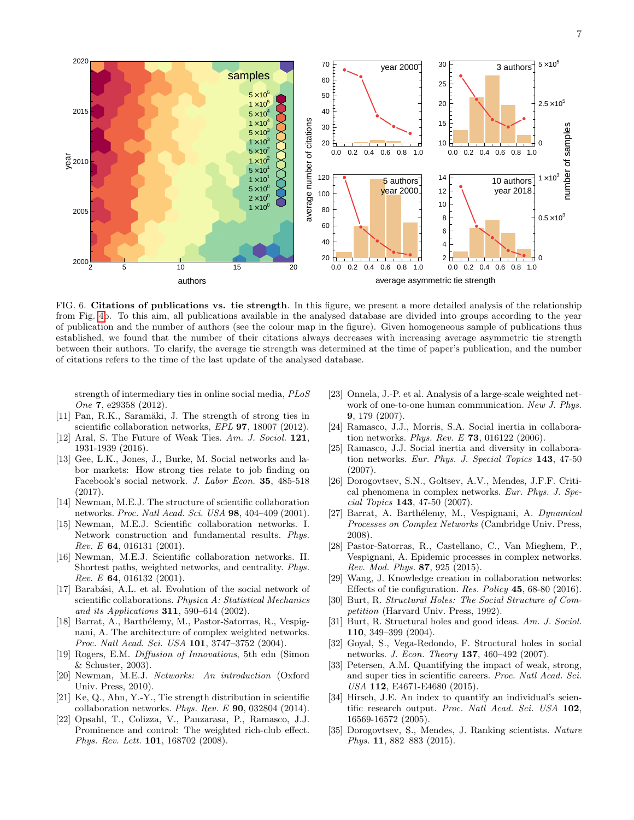

<span id="page-6-22"></span>FIG. 6. Citations of publications vs. tie strength. In this figure, we present a more detailed analysis of the relationship from Fig. [4b](#page-4-1). To this aim, all publications available in the analysed database are divided into groups according to the year of publication and the number of authors (see the colour map in the figure). Given homogeneous sample of publications thus established, we found that the number of their citations always decreases with increasing average asymmetric tie strength between their authors. To clarify, the average tie strength was determined at the time of paper's publication, and the number of citations refers to the time of the last update of the analysed database.

strength of intermediary ties in online social media, PLoS One 7, e29358 (2012).

- <span id="page-6-0"></span>[11] Pan, R.K., Saramäki, J. The strength of strong ties in scientific collaboration networks, EPL 97, 18007 (2012).
- [12] Aral, S. The Future of Weak Ties. Am. J. Sociol. 121, 1931-1939 (2016).
- <span id="page-6-1"></span>[13] Gee, L.K., Jones, J., Burke, M. Social networks and labor markets: How strong ties relate to job finding on Facebook's social network. J. Labor Econ. 35, 485-518 (2017).
- <span id="page-6-2"></span>[14] Newman, M.E.J. The structure of scientific collaboration networks. Proc. Natl Acad. Sci. USA 98, 404–409 (2001).
- [15] Newman, M.E.J. Scientific collaboration networks. I. Network construction and fundamental results. Phys. Rev. E  $64$ , 016131 (2001).
- <span id="page-6-7"></span>[16] Newman, M.E.J. Scientific collaboration networks. II. Shortest paths, weighted networks, and centrality. Phys.  $Rev. E$  64, 016132 (2001).
- <span id="page-6-3"></span>[17] Barabási, A.L. et al. Evolution of the social network of scientific collaborations. Physica A: Statistical Mechanics and its Applications 311, 590–614 (2002).
- <span id="page-6-6"></span>[18] Barrat, A., Barthélemy, M., Pastor-Satorras, R., Vespignani, A. The architecture of complex weighted networks. Proc. Natl Acad. Sci. USA 101, 3747–3752 (2004).
- <span id="page-6-4"></span>[19] Rogers, E.M. Diffusion of Innovations, 5th edn (Simon & Schuster, 2003).
- <span id="page-6-5"></span>[20] Newman, M.E.J. Networks: An introduction (Oxford Univ. Press, 2010).
- <span id="page-6-8"></span>[21] Ke, Q., Ahn, Y.-Y., Tie strength distribution in scientific collaboration networks. Phys. Rev. E 90, 032804 (2014).
- <span id="page-6-10"></span>[22] Opsahl, T., Colizza, V., Panzarasa, P., Ramasco, J.J. Prominence and control: The weighted rich-club effect. Phys. Rev. Lett. 101, 168702 (2008).
- <span id="page-6-9"></span>[23] Onnela, J.-P. et al. Analysis of a large-scale weighted network of one-to-one human communication. New J. Phys. 9, 179 (2007).
- <span id="page-6-11"></span>[24] Ramasco, J.J., Morris, S.A. Social inertia in collaboration networks. Phys. Rev. E  $73$ , 016122 (2006).
- <span id="page-6-12"></span>[25] Ramasco, J.J. Social inertia and diversity in collaboration networks. Eur. Phys. J. Special Topics 143, 47-50 (2007).
- <span id="page-6-13"></span>[26] Dorogovtsev, S.N., Goltsev, A.V., Mendes, J.F.F. Critical phenomena in complex networks. Eur. Phys. J. Special Topics 143, 47-50 (2007).
- [27] Barrat, A. Barthélemy, M., Vespignani, A. Dynamical Processes on Complex Networks (Cambridge Univ. Press, 2008).
- <span id="page-6-14"></span>[28] Pastor-Satorras, R., Castellano, C., Van Mieghem, P., Vespignani, A. Epidemic processes in complex networks. Rev. Mod. Phys. 87, 925 (2015).
- <span id="page-6-15"></span>[29] Wang, J. Knowledge creation in collaboration networks: Effects of tie configuration. Res. Policy 45, 68-80 (2016).
- <span id="page-6-16"></span>[30] Burt, R. Structural Holes: The Social Structure of Competition (Harvard Univ. Press, 1992).
- <span id="page-6-21"></span>[31] Burt, R. Structural holes and good ideas. Am. J. Sociol. 110, 349–399 (2004).
- <span id="page-6-17"></span>[32] Goyal, S., Vega-Redondo, F. Structural holes in social networks. J. Econ. Theory 137, 460–492 (2007).
- <span id="page-6-20"></span>[33] Petersen, A.M. Quantifying the impact of weak, strong, and super ties in scientific careers. Proc. Natl Acad. Sci. USA 112, E4671-E4680 (2015).
- <span id="page-6-18"></span>[34] Hirsch, J.E. An index to quantify an individual's scientific research output. Proc. Natl Acad. Sci. USA 102, 16569-16572 (2005).
- <span id="page-6-19"></span>[35] Dorogovtsev, S., Mendes, J. Ranking scientists. Nature Phys. 11, 882–883 (2015).